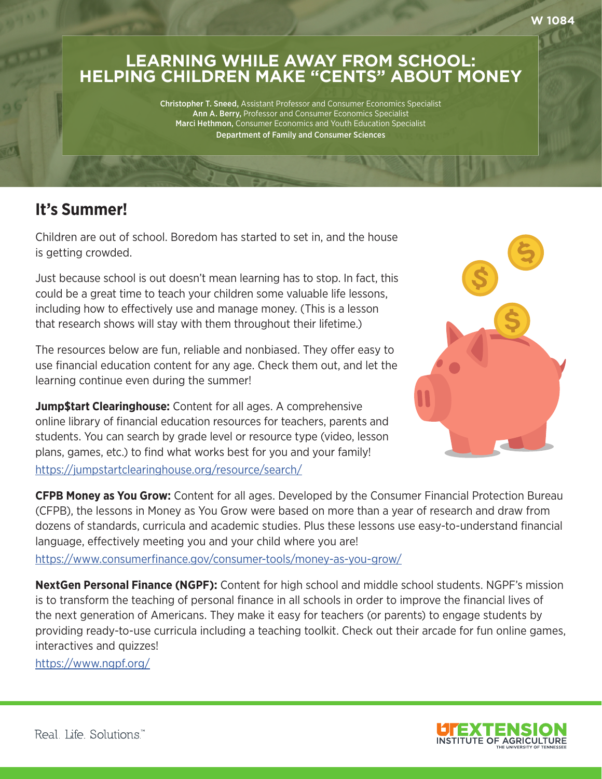## **LEARNING WHILE AWAY FROM SCHOOL: HELPING CHILDREN MAKE "CENTS" ABOUT MONEY**

Christopher T. Sneed, Assistant Professor and Consumer Economics Specialist Ann A. Berry, Professor and Consumer Economics Specialist Marci Hethmon, Consumer Economics and Youth Education Specialist Department of Family and Consumer Sciences

## **It's Summer!**

Children are out of school. Boredom has started to set in, and the house is getting crowded.

Just because school is out doesn't mean learning has to stop. In fact, this could be a great time to teach your children some valuable life lessons, including how to effectively use and manage money. (This is a lesson that research shows will stay with them throughout their lifetime.)

The resources below are fun, reliable and nonbiased. They offer easy to use financial education content for any age. Check them out, and let the learning continue even during the summer!

**Jump\$tart Clearinghouse:** Content for all ages. A comprehensive online library of financial education resources for teachers, parents and students. You can search by grade level or resource type (video, lesson plans, games, etc.) to find what works best for you and your family! <https://jumpstartclearinghouse.org/resource/search/>



**CFPB Money as You Grow:** Content for all ages. Developed by the Consumer Financial Protection Bureau (CFPB), the lessons in Money as You Grow were based on more than a year of research and draw from dozens of standards, curricula and academic studies. Plus these lessons use easy-to-understand financial language, effectively meeting you and your child where you are!

<https://www.consumerfinance.gov/consumer-tools/money-as-you-grow/>

**NextGen Personal Finance (NGPF):** Content for high school and middle school students. NGPF's mission is to transform the teaching of personal finance in all schools in order to improve the financial lives of the next generation of Americans. They make it easy for teachers (or parents) to engage students by providing ready-to-use curricula including a teaching toolkit. Check out their arcade for fun online games, interactives and quizzes!

<https://www.ngpf.org/>